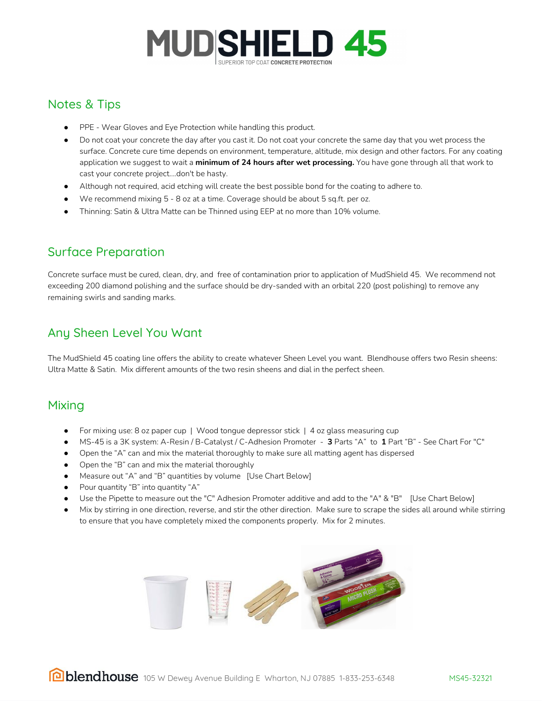

## Notes & Tips

- PPE Wear Gloves and Eye Protection while handling this product.
- Do not coat your concrete the day after you cast it. Do not coat your concrete the same day that you wet process the surface. Concrete cure time depends on environment, temperature, altitude, mix design and other factors. For any coating application we suggest to wait a **minimum of 24 hours after wet processing.** You have gone through all that work to cast your concrete project….don't be hasty.
- Although not required, acid etching will create the best possible bond for the coating to adhere to.
- We recommend mixing 5 8 oz at a time. Coverage should be about 5 sq.ft. per oz.
- Thinning: Satin & Ultra Matte can be Thinned using EEP at no more than 10% volume.

# Surface Preparation

Concrete surface must be cured, clean, dry, and free of contamination prior to application of MudShield 45. We recommend not exceeding 200 diamond polishing and the surface should be dry-sanded with an orbital 220 (post polishing) to remove any remaining swirls and sanding marks.

# Any Sheen Level You Want

The MudShield 45 coating line offers the ability to create whatever Sheen Level you want. Blendhouse offers two Resin sheens: Ultra Matte & Satin. Mix different amounts of the two resin sheens and dial in the perfect sheen.

## **Mixing**

- For mixing use: 8 oz paper cup | Wood tongue depressor stick | 4 oz glass measuring cup
- MS-45 is a 3K system: A-Resin / B-Catalyst / C-Adhesion Promoter **3** Parts "A" to **1** Part "B" See Chart For "C"
- Open the "A" can and mix the material thoroughly to make sure all matting agent has dispersed
- Open the "B" can and mix the material thoroughly
- Measure out "A" and "B" quantities by volume [Use Chart Below]
- Pour quantity "B" into quantity "A"
- Use the Pipette to measure out the "C" Adhesion Promoter additive and add to the "A" & "B" [Use Chart Below]
- Mix by stirring in one direction, reverse, and stir the other direction. Make sure to scrape the sides all around while stirring to ensure that you have completely mixed the components properly. Mix for 2 minutes.